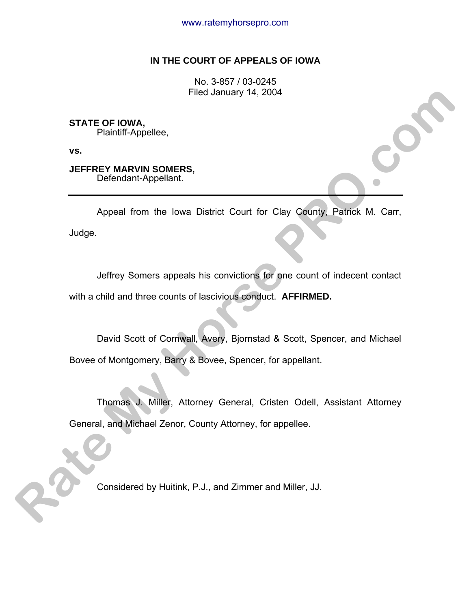# **IN THE COURT OF APPEALS OF IOWA**

No. 3-857 / 03-0245 Filed January 14, 2004

**STATE OF IOWA,**  Plaintiff-Appellee,

**vs.**

**JEFFREY MARVIN SOMERS,**  Defendant-Appellant.

 Appeal from the Iowa District Court for Clay County, Patrick M. Carr, Judge. Filed January 14, 2004<br> **Rate Corporations Community Spyllene,**<br>
VS.<br> **RATE FROM MARVING SOMERS.**<br>
Appeal from the lowa District Court for Clay County, Patrick M. Carr,<br>
Judge.<br>
Jeffrey Somes appeals his convictions for on

 Jeffrey Somers appeals his convictions for one count of indecent contact with a child and three counts of lascivious conduct. **AFFIRMED.**

 David Scott of Cornwall, Avery, Bjornstad & Scott, Spencer, and Michael Bovee of Montgomery, Barry & Bovee, Spencer, for appellant.

 Thomas J. Miller, Attorney General, Cristen Odell, Assistant Attorney General, and Michael Zenor, County Attorney, for appellee.

Considered by Huitink, P.J., and Zimmer and Miller, JJ.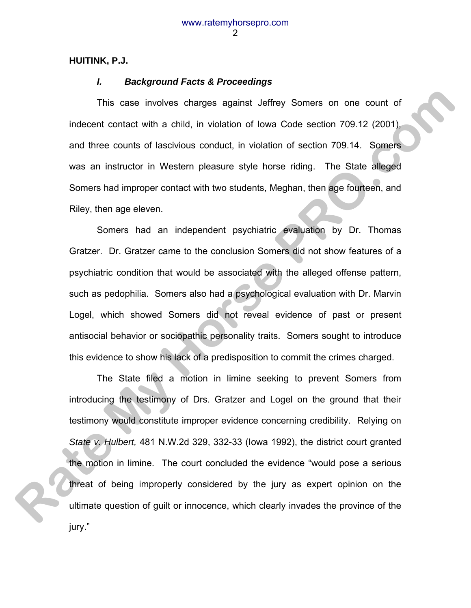# **HUITINK, P.J.**

# *I. Background Facts & Proceedings*

 This case involves charges against Jeffrey Somers on one count of indecent contact with a child, in violation of Iowa Code section 709.12 (2001), and three counts of lascivious conduct, in violation of section 709.14. Somers was an instructor in Western pleasure style horse riding. The State alleged Somers had improper contact with two students, Meghan, then age fourteen, and Riley, then age eleven.

 Somers had an independent psychiatric evaluation by Dr. Thomas Gratzer. Dr. Gratzer came to the conclusion Somers did not show features of a psychiatric condition that would be associated with the alleged offense pattern, such as pedophilia. Somers also had a psychological evaluation with Dr. Marvin Logel, which showed Somers did not reveal evidence of past or present antisocial behavior or sociopathic personality traits. Somers sought to introduce this evidence to show his lack of a predisposition to commit the crimes charged.

 The State filed a motion in limine seeking to prevent Somers from introducing the testimony of Drs. Gratzer and Logel on the ground that their testimony would constitute improper evidence concerning credibility. Relying on *State v. Hulbert,* 481 N.W.2d 329, 332-33 (Iowa 1992), the district court granted the motion in limine. The court concluded the evidence "would pose a serious threat of being improperly considered by the jury as expert opinion on the ultimate question of guilt or innocence, which clearly invades the province of the jury." This case involves charges against Jeffrey Somers on one count of<br>indecent contact with a child, in violation of lowa Code section 709.14. 20001,<br>and three counts of lascivious conduct, in violation of section 709.14. Some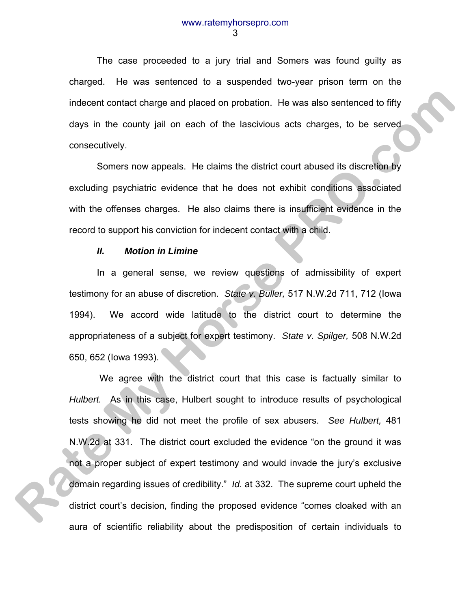The case proceeded to a jury trial and Somers was found guilty as charged. He was sentenced to a suspended two-year prison term on the indecent contact charge and placed on probation. He was also sentenced to fifty days in the county jail on each of the lascivious acts charges, to be served consecutively.

 Somers now appeals. He claims the district court abused its discretion by excluding psychiatric evidence that he does not exhibit conditions associated with the offenses charges. He also claims there is insufficient evidence in the record to support his conviction for indecent contact with a child.

# *II. Motion in Limine*

 In a general sense, we review questions of admissibility of expert testimony for an abuse of discretion. *State v. Buller,* 517 N.W.2d 711, 712 (Iowa 1994). We accord wide latitude to the district court to determine the appropriateness of a subject for expert testimony. *State v. Spilger,* 508 N.W.2d 650, 652 (Iowa 1993).

 We agree with the district court that this case is factually similar to *Hulbert.* As in this case, Hulbert sought to introduce results of psychological tests showing he did not meet the profile of sex abusers. *See Hulbert,* 481 N.W.2d at 331. The district court excluded the evidence "on the ground it was not a proper subject of expert testimony and would invade the jury's exclusive domain regarding issues of credibility." *Id.* at 332. The supreme court upheld the district court's decision, finding the proposed evidence "comes cloaked with an aura of scientific reliability about the predisposition of certain individuals to indecent contact charge and placed on probation. He was also sentenced to fifty<br>days in the county jail on each of the lascivious acts charges, to be served<br>consecutively.<br>Somers now appeals. He claims the district court a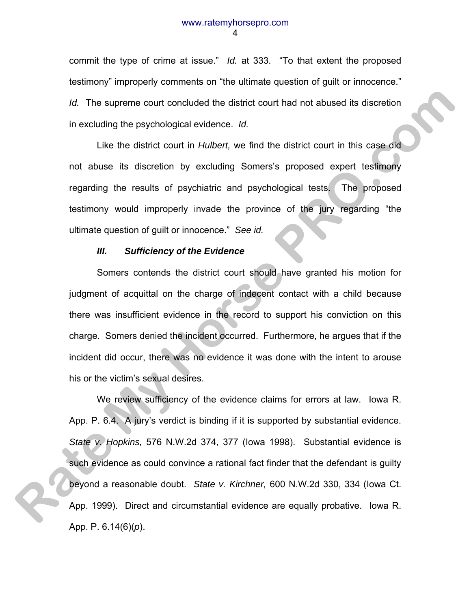commit the type of crime at issue." *Id.* at 333. "To that extent the proposed testimony" improperly comments on "the ultimate question of guilt or innocence." *Id.* The supreme court concluded the district court had not abused its discretion in excluding the psychological evidence. *Id.*

 Like the district court in *Hulbert,* we find the district court in this case did not abuse its discretion by excluding Somers's proposed expert testimony regarding the results of psychiatric and psychological tests. The proposed testimony would improperly invade the province of the jury regarding "the ultimate question of guilt or innocence." *See id.*

#### *III. Sufficiency of the Evidence*

 Somers contends the district court should have granted his motion for judgment of acquittal on the charge of indecent contact with a child because there was insufficient evidence in the record to support his conviction on this charge. Somers denied the incident occurred. Furthermore, he argues that if the incident did occur, there was no evidence it was done with the intent to arouse his or the victim's sexual desires.

 We review sufficiency of the evidence claims for errors at law. Iowa R. App. P. 6.4. A jury's verdict is binding if it is supported by substantial evidence. *State v. Hopkins,* 576 N.W.2d 374, 377 (Iowa 1998). Substantial evidence is such evidence as could convince a rational fact finder that the defendant is guilty beyond a reasonable doubt. *State v. Kirchner,* 600 N.W.2d 330, 334 (Iowa Ct. App. 1999). Direct and circumstantial evidence are equally probative. Iowa R. App. P. 6.14(6)(*p*). *Rate supperme count concluded the district court had not abused its discretion*<br>in excluding the psychological evidence. *Id.*<br>Like the district court in *Hutbert*, we find the district court in this case and<br>not abuse it